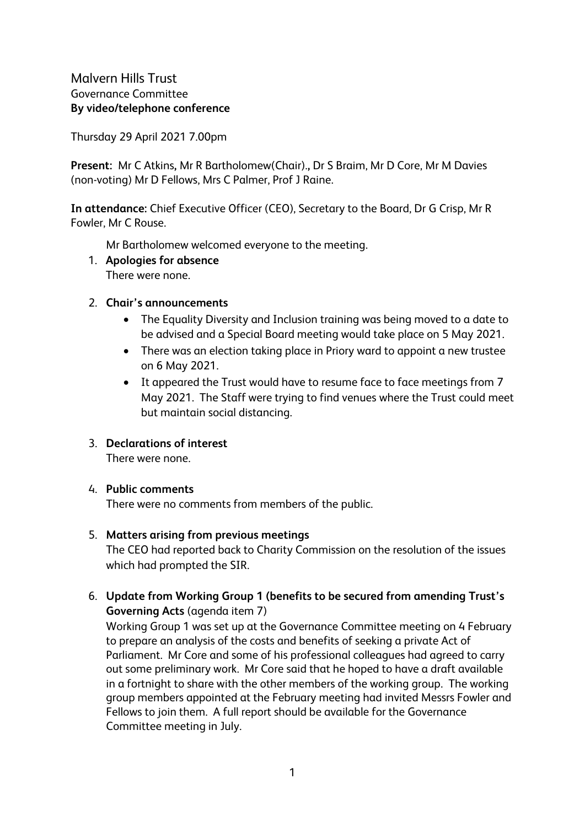Thursday 29 April 2021 7.00pm

**Present:** Mr C Atkins**,** Mr R Bartholomew(Chair).**,** Dr S Braim, Mr D Core, Mr M Davies (non-voting) Mr D Fellows, Mrs C Palmer, Prof J Raine.

**In attendance:** Chief Executive Officer (CEO), Secretary to the Board, Dr G Crisp, Mr R Fowler, Mr C Rouse.

Mr Bartholomew welcomed everyone to the meeting.

1. **Apologies for absence** There were none.

### 2. **Chair's announcements**

- The Equality Diversity and Inclusion training was being moved to a date to be advised and a Special Board meeting would take place on 5 May 2021.
- There was an election taking place in Priory ward to appoint a new trustee on 6 May 2021.
- It appeared the Trust would have to resume face to face meetings from 7 May 2021. The Staff were trying to find venues where the Trust could meet but maintain social distancing.

## 3. **Declarations of interest**

There were none.

#### 4. **Public comments**

There were no comments from members of the public.

#### 5. **Matters arising from previous meetings**

The CEO had reported back to Charity Commission on the resolution of the issues which had prompted the SIR.

## 6. **Update from Working Group 1 (benefits to be secured from amending Trust's Governing Acts** (agenda item 7)

Working Group 1 was set up at the Governance Committee meeting on 4 February to prepare an analysis of the costs and benefits of seeking a private Act of Parliament. Mr Core and some of his professional colleagues had agreed to carry out some preliminary work. Mr Core said that he hoped to have a draft available in a fortnight to share with the other members of the working group. The working group members appointed at the February meeting had invited Messrs Fowler and Fellows to join them. A full report should be available for the Governance Committee meeting in July.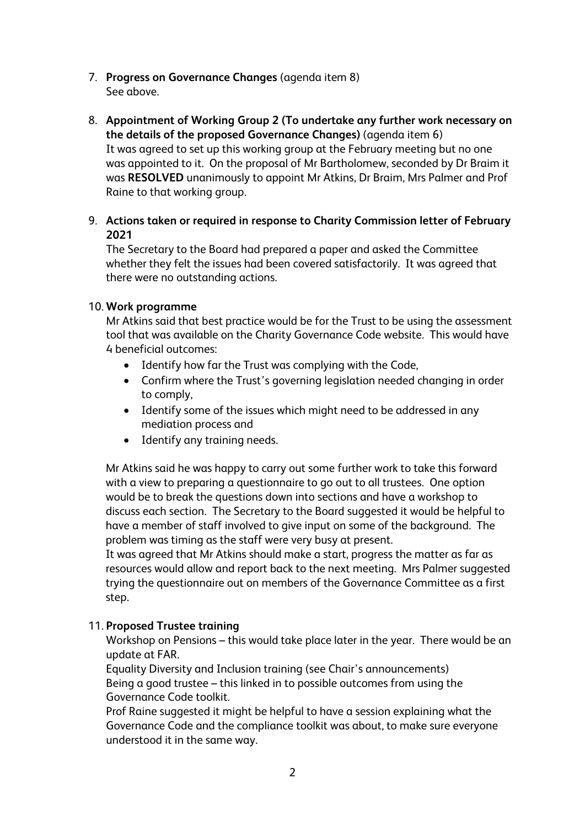- 7. **Progress on Governance Changes** (agenda item 8) See above.
- 8. **Appointment of Working Group 2 (To undertake any further work necessary on the details of the proposed Governance Changes)** (agenda item 6) It was agreed to set up this working group at the February meeting but no one was appointed to it. On the proposal of Mr Bartholomew, seconded by Dr Braim it was **RESOLVED** unanimously to appoint Mr Atkins, Dr Braim, Mrs Palmer and Prof Raine to that working group.
- 9. **Actions taken or required in response to Charity Commission letter of February 2021**

The Secretary to the Board had prepared a paper and asked the Committee whether they felt the issues had been covered satisfactorily. It was agreed that there were no outstanding actions.

#### 10. **Work programme**

Mr Atkins said that best practice would be for the Trust to be using the assessment tool that was available on the Charity Governance Code website. This would have 4 beneficial outcomes:

- Identify how far the Trust was complying with the Code,
- Confirm where the Trust's governing legislation needed changing in order to comply,
- Identify some of the issues which might need to be addressed in any mediation process and
- Identify any training needs.

Mr Atkins said he was happy to carry out some further work to take this forward with a view to preparing a questionnaire to go out to all trustees. One option would be to break the questions down into sections and have a workshop to discuss each section. The Secretary to the Board suggested it would be helpful to have a member of staff involved to give input on some of the background. The problem was timing as the staff were very busy at present.

It was agreed that Mr Atkins should make a start, progress the matter as far as resources would allow and report back to the next meeting. Mrs Palmer suggested trying the questionnaire out on members of the Governance Committee as a first step.

#### 11. **Proposed Trustee training**

Workshop on Pensions – this would take place later in the year. There would be an update at FAR.

Equality Diversity and Inclusion training (see Chair's announcements) Being a good trustee – this linked in to possible outcomes from using the Governance Code toolkit.

Prof Raine suggested it might be helpful to have a session explaining what the Governance Code and the compliance toolkit was about, to make sure everyone understood it in the same way.